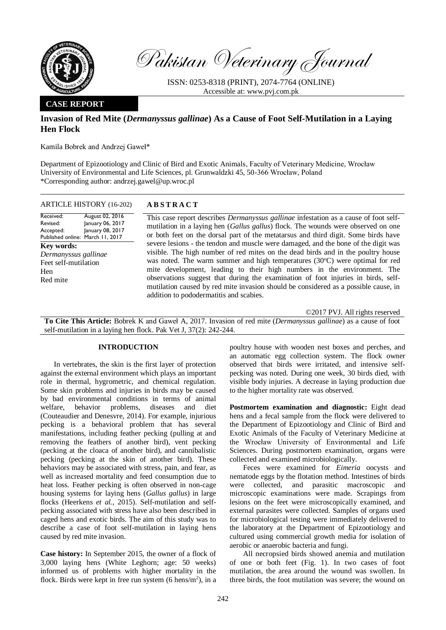

Pakistan Veterinary Journal

ISSN: 0253-8318 (PRINT), 2074-7764 (ONLINE) Accessible at: [www.pvj.com.pk](http://www.pvj.com.pk/)

## **CASE REPORT**

# **Invasion of Red Mite (***Dermanyssus gallinae***) As a Cause of Foot Self-Mutilation in a Laying Hen Flock**

Kamila Bobrek and Andrzej Gaweł\*

Department of Epizootiology and Clinic of Bird and Exotic Animals, Faculty of Veterinary Medicine, Wrocław University of Environmental and Life Sciences, pl. Grunwaldzki 45, 50-366 Wrocław, Poland \*Corresponding author: andrzej.gawel@up.wroc.pl

| ARTICLE HISTORY (16-202) | <b>ABSTRACT</b> |
|--------------------------|-----------------|
|--------------------------|-----------------|

Received: Revised: Accepted: Published online: March 11, 2017 August 02, 2016 January 06, 2017 January 08, 2017 **Key words:**  *Dermanyssus gallinae*

Feet self-mutilation Hen Red mite

This case report describes *Dermanyssus gallinae* infestation as a cause of foot selfmutilation in a laying hen (*Gallus gallus*) flock. The wounds were observed on one or both feet on the dorsal part of the metatarsus and third digit. Some birds have severe lesions - the tendon and muscle were damaged, and the bone of the digit was visible. The high number of red mites on the dead birds and in the poultry house was noted. The warm summer and high temperatures  $(30^{\circ}C)$  were optimal for red mite development, leading to their high numbers in the environment. The observations suggest that during the examination of foot injuries in birds, selfmutilation caused by red mite invasion should be considered as a possible cause, in addition to pododermatitis and scabies.

©2017 PVJ. All rights reserved

**To Cite This Article:** Bobrek K and Gaweł A, 2017. Invasion of red mite (*Dermanyssus gallinae*) as a cause of foot self-mutilation in a laying hen flock. Pak Vet J, 37(2): 242-244.

## **INTRODUCTION**

In vertebrates, the skin is the first layer of protection against the external environment which plays an important role in thermal, hygrometric, and chemical regulation. Some skin problems and injuries in birds may be caused by bad environmental conditions in terms of animal welfare, behavior problems, diseases and diet (Couteaudier and Denesvre, 2014). For example, injurious pecking is a behavioral problem that has several manifestations, including feather pecking (pulling at and removing the feathers of another bird), vent pecking (pecking at the cloaca of another bird), and cannibalistic pecking (pecking at the skin of another bird). These behaviors may be associated with stress, pain, and fear, as well as increased mortality and feed consumption due to heat loss. Feather pecking is often observed in non-cage housing systems for laying hens (*Gallus gallus*) in large flocks (Heerkens *et al.*, 2015). Self-mutilation and selfpecking associated with stress have also been described in caged hens and exotic birds. The aim of this study was to describe a case of foot self-mutilation in laying hens caused by red mite invasion.

**Case history:** In September 2015, the owner of a flock of 3,000 laying hens (White Leghorn; age: 50 weeks) informed us of problems with higher mortality in the flock. Birds were kept in free run system  $(6 \text{ hens/m}^2)$ , in a poultry house with wooden nest boxes and perches, and an automatic egg collection system. The flock owner observed that birds were irritated, and intensive selfpecking was noted. During one week, 30 birds died, with visible body injuries. A decrease in laying production due to the higher mortality rate was observed.

**Postmortem examination and diagnostic:** Eight dead hens and a fecal sample from the flock were delivered to the Department of Epizootiology and Clinic of Bird and Exotic Animals of the Faculty of Veterinary Medicine at the Wrocław University of Environmental and Life Sciences. During postmortem examination, organs were collected and examined microbiologically.

Feces were examined for *Eimeria* oocysts and nematode eggs by the flotation method. Intestines of birds were collected, and parasitic macroscopic and microscopic examinations were made. Scrapings from lesions on the feet were microscopically examined, and external parasites were collected. Samples of organs used for microbiological testing were immediately delivered to the laboratory at the Department of Epizootiology and cultured using commercial growth media for isolation of aerobic or anaerobic bacteria and fungi.

All necropsied birds showed anemia and mutilation of one or both feet (Fig. 1). In two cases of foot mutilation, the area around the wound was swollen. In three birds, the foot mutilation was severe; the wound on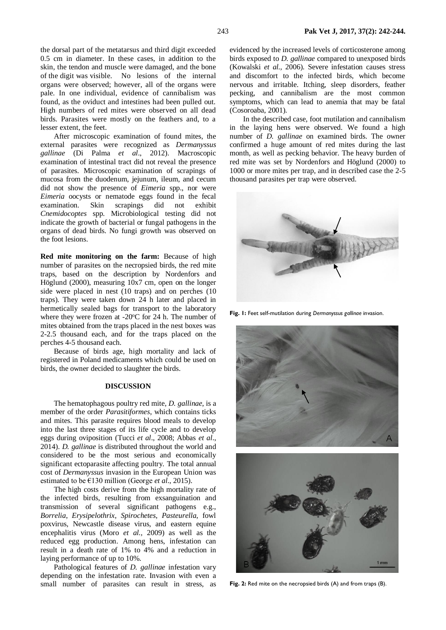the dorsal part of the metatarsus and third digit exceeded 0.5 cm in diameter. In these cases, in addition to the skin, the tendon and muscle were damaged, and the bone of the digit was visible. No lesions of the internal organs were observed; however, all of the organs were pale. In one individual, evidence of cannibalism was found, as the oviduct and intestines had been pulled out. High numbers of red mites were observed on all dead birds. Parasites were mostly on the feathers and, to a lesser extent, the feet.

After microscopic examination of found mites, the external parasites were recognized as *Dermanyssus gallinae* (Di Palma *et al*., 2012). Macroscopic examination of intestinal tract did not reveal the presence of parasites. Microscopic examination of scrapings of mucosa from the duodenum, jejunum, ileum, and cecum did not show the presence of *Eimeria* spp., nor were *Eimeria* oocysts or nematode eggs found in the fecal examination. Skin scrapings did not exhibit *Cnemidocoptes* spp. Microbiological testing did not indicate the growth of bacterial or fungal pathogens in the organs of dead birds. No fungi growth was observed on the foot lesions.

**Red mite monitoring on the farm:** Because of high number of parasites on the necropsied birds, the red mite traps, based on the description by Nordenfors and Höglund (2000), measuring 10x7 cm, open on the longer side were placed in nest (10 traps) and on perches (10 traps). They were taken down 24 h later and placed in hermetically sealed bags for transport to the laboratory where they were frozen at -20°C for 24 h. The number of mites obtained from the traps placed in the nest boxes was 2-2.5 thousand each, and for the traps placed on the perches 4-5 thousand each.

Because of birds age, high mortality and lack of registered in Poland medicaments which could be used on birds, the owner decided to slaughter the birds.

### **DISCUSSION**

The hematophagous poultry red mite, *D. gallinae*, is a member of the order *Parasitiformes*, which contains ticks and mites. This parasite requires blood meals to develop into the last three stages of its life cycle and to develop eggs during oviposition (Tucci *et al*., 2008; Abbas *et al*., 2014). *D. gallinae* is distributed throughout the world and considered to be the most serious and economically significant ectoparasite affecting poultry. The total annual cost of *Dermanyssus* invasion in the European Union was estimated to be €130 million (George *et al*., 2015).

The high costs derive from the high mortality rate of the infected birds, resulting from exsanguination and transmission of several significant pathogens e.g., *Borrelia*, *Erysipelothrix*, *Spirochetes*, *Pasteurella*, fowl poxvirus, Newcastle disease virus, and eastern equine encephalitis virus (Moro *et al.,* 2009) as well as the reduced egg production. Among hens, infestation can result in a death rate of 1% to 4% and a reduction in laying performance of up to 10%.

Pathological features of *D. gallinae* infestation vary depending on the infestation rate. Invasion with even a small number of parasites can result in stress, as evidenced by the increased levels of corticosterone among birds exposed to *D. gallinae* compared to unexposed birds (Kowalski *et al.,* 2006). Severe infestation causes stress and discomfort to the infected birds, which become nervous and irritable. Itching, sleep disorders, feather pecking, and cannibalism are the most common symptoms, which can lead to anemia that may be fatal (Cosoroaba, 2001).

In the described case, foot mutilation and cannibalism in the laying hens were observed. We found a high number of *D. gallinae* on examined birds. The owner confirmed a huge amount of red mites during the last month, as well as pecking behavior. The heavy burden of red mite was set by Nordenfors and Höglund (2000) to 1000 or more mites per trap, and in described case the 2-5 thousand parasites per trap were observed.



**Fig. 1:** Feet self-mutilation during *Dermanyssus gallinae* invasion.



**Fig. 2:** Red mite on the necropsied birds (A) and from traps (B).